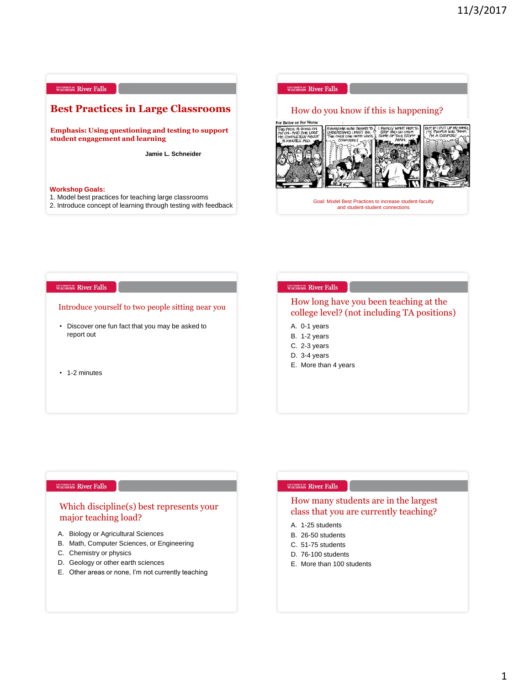

1. Model best practices for teaching large classrooms

2. Introduce concept of learning through testing with feedback



#### **WISCONSIN River Falls**

#### Introduce yourself to two people sitting near you

- Discover one fun fact that you may be asked to report out
- 1-2 minutes

### WISCONSIN River Falls

## How long have you been teaching at the college level? (not including TA positions)

- A. 0-1 years
- B. 1-2 years
- C. 2-3 years
- D. 3-4 years
- E. More than 4 years

#### WISCONSIN River Falls

## Which discipline(s) best represents your major teaching load?

- A. Biology or Agricultural Sciences
- B. Math, Computer Sciences, or Engineering
- C. Chemistry or physics
- D. Geology or other earth sciences
- E. Other areas or none, I'm not currently teaching

## WISCONSIN River Falls

## How many students are in the largest class that you are currently teaching?

- A. 1-25 students
- B. 26-50 students
- C. 51-75 students
- D. 76-100 students
- E. More than 100 students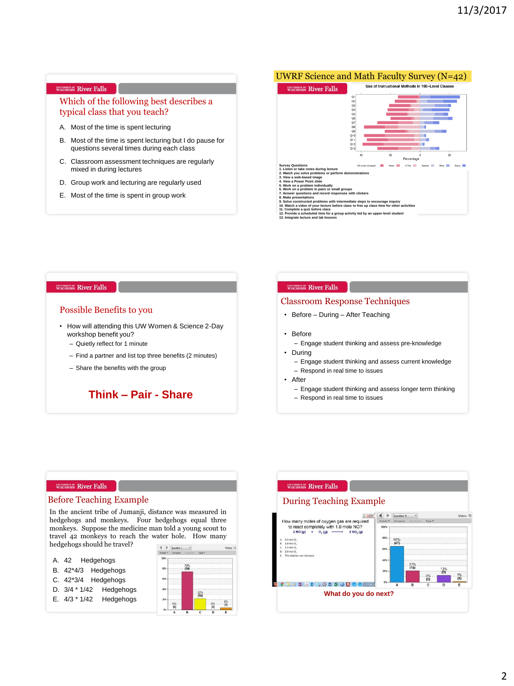## Which of the following best describes a typical class that you teach?

- A. Most of the time is spent lecturing
- B. Most of the time is spent lecturing but I do pause for questions several times during each class
- C. Classroom assessment techniques are regularly mixed in during lectures
- D. Group work and lecturing are regularly used
- E. Most of the time is spent in group work

## UWRF Science and Math Faculty Survey (N=42) Use of Instructional Methods in 100-Ley WISCONSIN River Falls Q<br>Q<br>Q<br>Q<br>Q<br>Q<br>Q<br>Q<br>Q<br>Q<br>D<br>Q<br>D<br>Q<br>D<br>Q<br>D<br>Q<br>D<br> $\label{eq:Q}$ **Survey Questions 1. Listen or take notes during lecture 2. Watch you solve problems or perform demonstrations 3. View a web-based image er Point slide 5. Work on a problem individually 6. Work on a problem in pairs or small groups 7. Answer questions and record responses with clickers 8. Make presentations**

- **9. Solve constructed problems with intermediate steps to encourage inquiry 10. Watch a video of your lecture before class to free up class time for other activities**
- **11. Complete a quiz before class 12. Provide a scheduled time for a group activity led by an upper-level student 13. Integrate lecture and lab lessons**
- 

#### WISCONSIN River Falls

### Possible Benefits to you

- How will attending this UW Women & Science 2-Day workshop benefit you?
	- Quietly reflect for 1 minute
	- Find a partner and list top three benefits (2 minutes)
	- Share the benefits with the group

**Think – Pair - Share**

#### WISCONSIN River Falls

#### Classroom Response Techniques

- Before During After Teaching
- Before
	- Engage student thinking and assess pre-knowledge
- During
	- Engage student thinking and assess current knowledge
	- Respond in real time to issues
- After
	- Engage student thinking and assess longer term thinking
	- Respond in real time to issues

#### WISCONSIN River Falls

In the ancient tribe of Jumanji, distance was measured in hedgehogs and monkeys. Four hedgehogs equal three monkeys. Suppose the medicine man told a young scout to travel 42 monkeys to reach the water hole. How many hedgehogs should he travel?

- A. 42 Hedgehogs
- B. 42\*4/3 Hedgehogs
- C. 42\*3/4 Hedgehogs
- D. 3/4 \* 1/42 Hedgehogs
- E. 4/3 \* 1/42 Hedgehogs



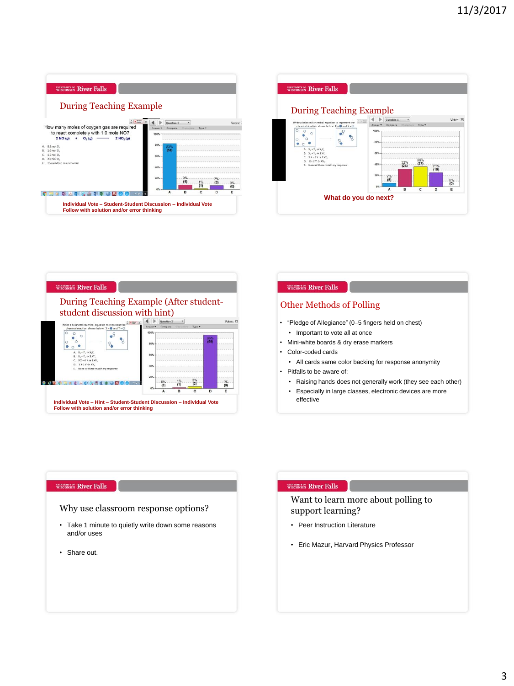





## Other Methods of Polling

- "Pledge of Allegiance" (0–5 fingers held on chest)
	- Important to vote all at once
- Mini-white boards & dry erase markers
- Color-coded cards
	- All cards same color backing for response anonymity
- Pitfalls to be aware of:
	- Raising hands does not generally work (they see each other)
	- Especially in large classes, electronic devices are more effective

#### WISCONSIN River Falls

## Why use classroom response options?

- Take 1 minute to quietly write down some reasons and/or uses
- Share out.

## WISCONSIN River Falls

Want to learn more about polling to support learning?

- Peer Instruction Literature
- Eric Mazur, Harvard Physics Professor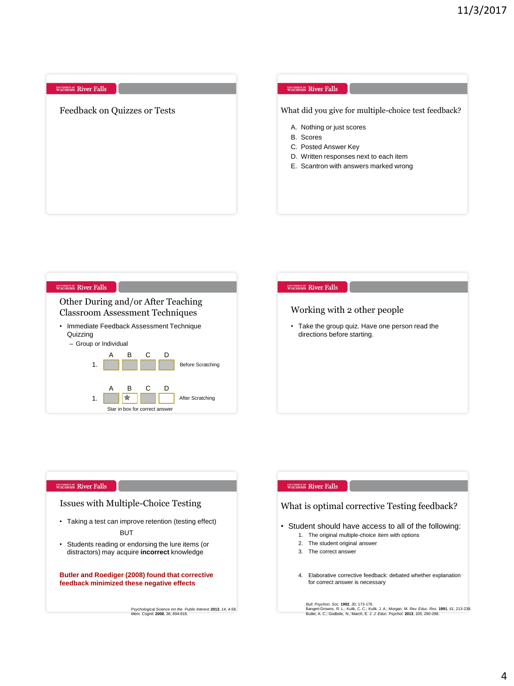| What did you give for multiple-choice test feedback?<br>A. Nothing or just scores<br><b>B.</b> Scores<br>C. Posted Answer Key<br>D. Written responses next to each item<br>E. Scantron with answers marked wrong |
|------------------------------------------------------------------------------------------------------------------------------------------------------------------------------------------------------------------|
|                                                                                                                                                                                                                  |





## Issues with Multiple-Choice Testing

- Taking a test can improve retention (testing effect) BUT
- Students reading or endorsing the lure items (or distractors) may acquire **incorrect** knowledge

**Butler and Roediger (2008) found that corrective feedback minimized these negative effects**

*Psychological Science inn the Public Interest* **2013**, *14, 4-58. Mem. Cognit.* **2008**, *36*, 604-616.

#### WISCONSIN River Falls

## What is optimal corrective Testing feedback?

- Student should have access to all of the following:
	- 1. The original multiple-choice item with options
	- 2. The student original answer
	- 3. The correct answer
	- 4. Elaborative corrective feedback: debated whether explanation for correct answer is necessary

*Bull. Psychon. Soc.* **1992,** 30, 173-176.<br>Bangert-Drowns, R. L.; Kulik, C. C.; Kulik, J. A.; Morgan, M*. Rev. Educ. Res*. **1991,** 61, 213-238.<br>Butler, A. C.; Godbole, N.; March, E. J. *J. Educ. Psychol.* **2013**, 105, 290-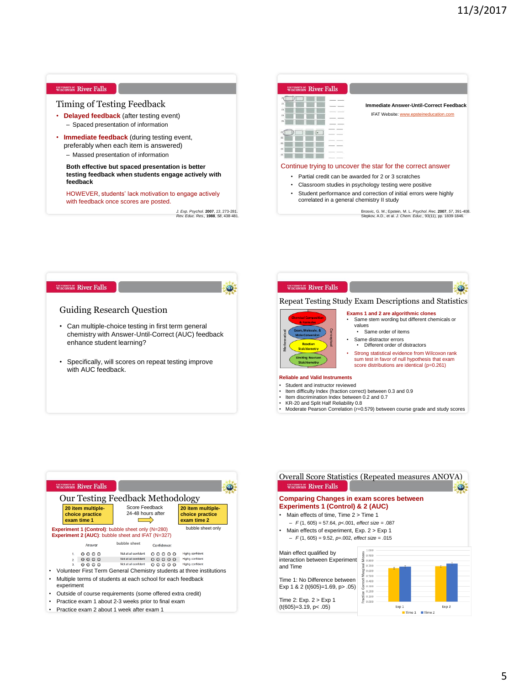| WISCONSIN River Falls                                                                                                              | <b>WISCONSIN</b> River Falls                                                                                                                                                   |
|------------------------------------------------------------------------------------------------------------------------------------|--------------------------------------------------------------------------------------------------------------------------------------------------------------------------------|
| Timing of Testing Feedback<br><b>Delayed feedback</b> (after testing event)<br>- Spaced presentation of information                | Immediate Answer-Until-Correct Feedback<br>IFAT Website: www.epsteineducation.com                                                                                              |
| <b>Immediate feedback</b> (during testing event,<br>preferably when each item is answered)<br>- Massed presentation of information |                                                                                                                                                                                |
| Both effective but spaced presentation is better<br>testing feedback when students engage actively with<br>feedback                | Continue trying to uncover the star for the correct answer<br>Partial credit can be awarded for 2 or 3 scratches<br>Classroom studies in psychology testing were positive<br>٠ |
| HOWEVER, students' lack motivation to engage actively<br>with feedback once scores are posted.                                     | Student performance and correction of initial errors were highly<br>٠<br>correlated in a general chemistry II study                                                            |
| J. Exp. Psychol. 2007, 13, 273-281.<br>Rev. Educ. Res., 1988, 58, 438-481.                                                         | Brosvic, G. M.; Epstein, M. L. Psychol. Rec. 2007, 57, 391-408.<br>Slepkov, A.D., et al. J. Chem. Educ., 93(11), pp. 1839-1846.                                                |





• Practice exam 2 about 1 week after exam 1

Overall Score Statistics (Repeated measures ANOVA) **WISCONSIN River Falls**  $\bullet$ **Comparing Changes in exam scores between Experiments 1 (Control) & 2 (AUC)** • Main effects of time, Time 2 > Time 1 – *F* (1, 605) = 57.64, *p*<.001, *effect size* = .087 • Main effects of experiment, Exp. 2 > Exp 1 – *F* (1, 605) = 9.52, *p*=.002, *effect size* = .015 Main effect qualified by interaction between Experiment  $2.800$ and Time 0.700 0.600  $.500$ Time 1: No Difference between 400 Exp 1 & 2 (t(605)=1.69, p> .05) 0.300  $.200$  $0.100$ Time 2: Exp. 2 > Exp 1  $(t(605)=3.19, p<.05)$ Exp 1 Exp 2  $Time 1$  Time 2

• Moderate Pearson Correlation (*r*=0.579) between course grade and study scores